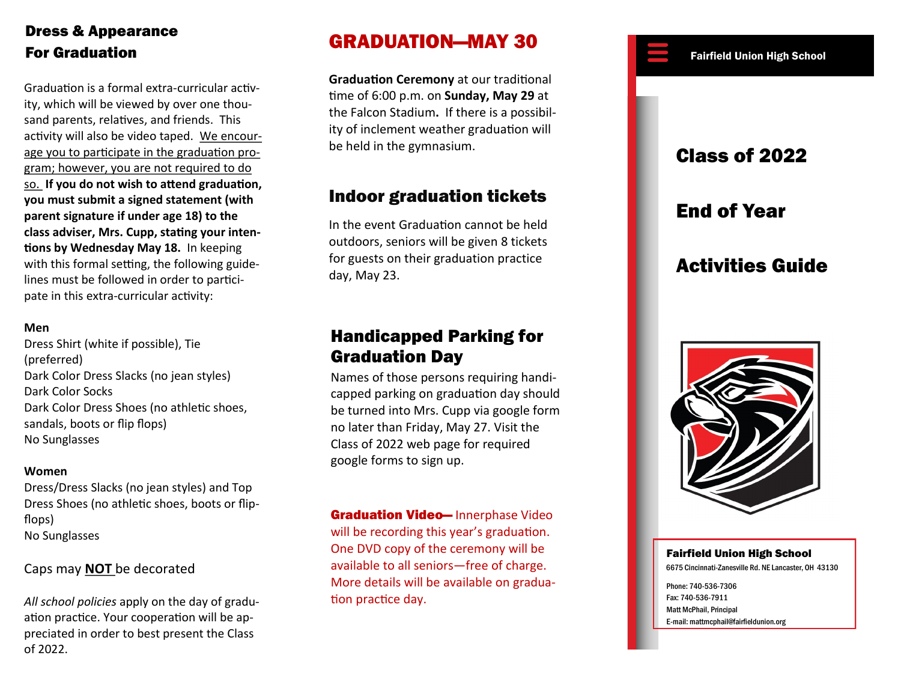## Dress & Appearance For Graduation **For Graduation For Graduation For Graduation**

Graduation is a formal extra -curricular activity, which will be viewed by over one thousand parents, relatives, and friends. This activity will also be video taped. We encourage you to participate in the graduation program; however, you are not required to do so. **If you do not wish to attend graduation, you must submit a signed statement (with parent signature if under age 18) to the class adviser, Mrs. Cupp, stating your intentions by Wednesday May 18.** In keeping with this formal setting, the following guidelines must be followed in order to participate in this extra-curricular activity:

### **Men**

Dress Shirt (white if possible), Tie (preferred) Dark Color Dress Slacks (no jean styles) Dark Color Socks Dark Color Dress Shoes (no athletic shoes, sandals, boots or flip flops) No Sunglasses

#### **Women**

Dress/Dress Slacks (no jean styles) and Top Dress Shoes (no athletic shoes, boots or flip flops) No Sunglasses

### Caps may **NOT** be decorated

*All school policies* apply on the day of gradu ation practice. Your cooperation will be appreciated in order to best present the Class of 2022.

# GRADUATION — M AY 30

**Graduation Ceremony** at our traditional time of 6:00 p.m. on **Sunday, May 29** at the Falcon Stadium **.** If there is a possibility of inclement weather graduation will be held in the gymnasium.

## Indoor graduation tickets

In the event Graduation cannot be held outdoors, seniors will be given 8 tickets for guest s on their graduation practice day, May 23.

## Handicapped Parking for Graduation Day

Names of those persons requiring handicapped parking on graduation day should be turned into Mrs. Cupp via google form no later than Friday, May 27. Visit the Class of 2022 web page for required google forms to sign up.

**Graduation Video**— Innerphase Video will be recording this year's graduation. One DVD copy of the ceremony will be available to all seniors—free of charge. More details will be available on graduation practice day.

## Class of 2022

## End of Year

# Activities Guide



### Fairfield Union High School

6675 Cincinnati -Zanesville Rd. NE Lancaster, OH 43130

Phone: 740 -536 -7306 Fax: 740 -536 -7911 Matt McPhail, Principal E-mail: mattmcphail@fairfieldunion.org